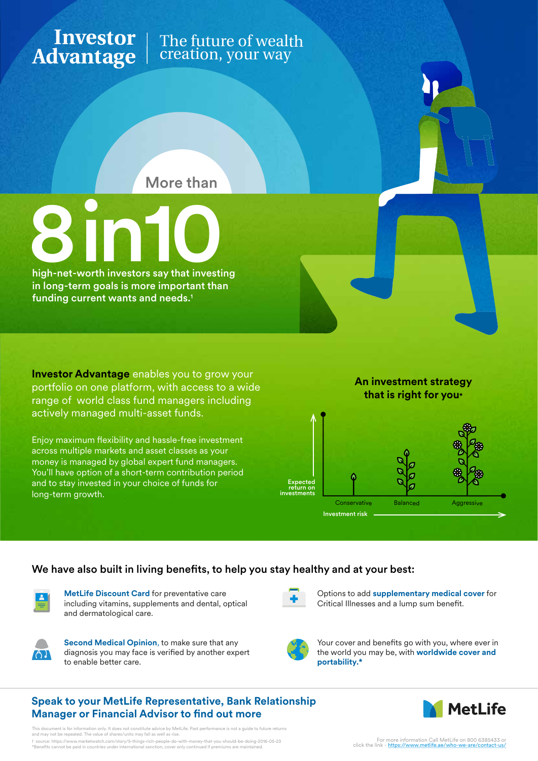## **Investor** | The future of wealth creation, your way **Advantage**

More than



in long-term goals is more important than funding current wants and needs.<sup>1</sup>

**Investor Advantage** enables you to grow your portfolio on one platform, with access to a wide range of world class fund managers including actively managed multi-asset funds.

Enjoy maximum flexibility and hassle-free investment across multiple markets and asset classes as your money is managed by global expert fund managers. You'll have option of a short-term contribution period and to stay invested in your choice of funds for long-term growth.

### **An investment strategy that is right for you\***



## We have also built in living benefits, to help you stay healthy and at your best:



**MetLife Discount Card** for preventative care including vitamins, supplements and dental, optical and dermatological care.



**Second Medical Opinion**, to make sure that any diagnosis you may face is verified by another expert to enable better care.

Options to add **supplementary medical cover** for Critical Illnesses and a lump sum benefit.



Your cover and benefits go with you, where ever in the world you may be, with **worldwide cover and portability.\***

## **Speak to your MetLife Representative, Bank Relationship Manager or Financial Advisor to find out more**



tion only. It does not constitute advice by MetLife. Past performance is not a guide to future returns and may not be repeated. The value of shares/units may fall as well as rise. 1 source: https://www.marketwatch.com/story/5-things-rich-people-do-with-money-that-you-should-be-doing-2016-05-23<br>\*Benefits cannot be paid in countries under international sanction, cover only continued if premiums are ma